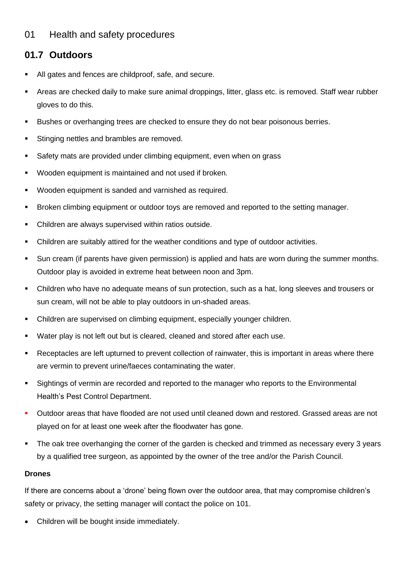## 01 Health and safety procedures

## **01.7 Outdoors**

- All gates and fences are childproof, safe, and secure.
- Areas are checked daily to make sure animal droppings, litter, glass etc. is removed. Staff wear rubber gloves to do this.
- Bushes or overhanging trees are checked to ensure they do not bear poisonous berries.
- Stinging nettles and brambles are removed.
- Safety mats are provided under climbing equipment, even when on grass
- Wooden equipment is maintained and not used if broken.
- Wooden equipment is sanded and varnished as required.
- Broken climbing equipment or outdoor toys are removed and reported to the setting manager.
- Children are always supervised within ratios outside.
- Children are suitably attired for the weather conditions and type of outdoor activities.
- Sun cream (if parents have given permission) is applied and hats are worn during the summer months. Outdoor play is avoided in extreme heat between noon and 3pm.
- Children who have no adequate means of sun protection, such as a hat, long sleeves and trousers or sun cream, will not be able to play outdoors in un-shaded areas.
- Children are supervised on climbing equipment, especially younger children.
- Water play is not left out but is cleared, cleaned and stored after each use.
- Receptacles are left upturned to prevent collection of rainwater, this is important in areas where there are vermin to prevent urine/faeces contaminating the water.
- Sightings of vermin are recorded and reported to the manager who reports to the Environmental Health's Pest Control Department.
- Outdoor areas that have flooded are not used until cleaned down and restored. Grassed areas are not played on for at least one week after the floodwater has gone.
- **•** The oak tree overhanging the corner of the garden is checked and trimmed as necessary every 3 years by a qualified tree surgeon, as appointed by the owner of the tree and/or the Parish Council.

## **Drones**

If there are concerns about a 'drone' being flown over the outdoor area, that may compromise children's safety or privacy, the setting manager will contact the police on 101.

• Children will be bought inside immediately.